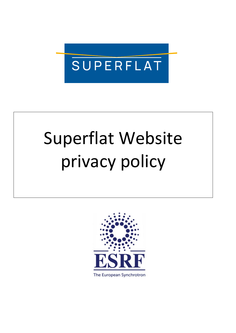

# Superflat Website privacy policy



The European Synchrotron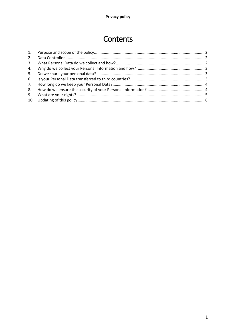# Contents

| 2. |  |
|----|--|
| 3. |  |
| 4. |  |
| 5. |  |
|    |  |
| 7. |  |
|    |  |
| 9. |  |
|    |  |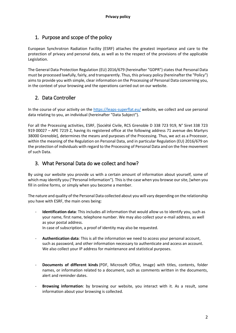# <span id="page-2-0"></span>1. Purpose and scope of the policy

European Synchrotron Radiation Facility (ESRF) attaches the greatest importance and care to the protection of privacy and personal data, as well as to the respect of the provisions of the applicable Legislation.

The General Data Protection Regulation (EU) 2016/679 (hereinafter "GDPR") states that Personal Data must be processed lawfully, fairly, and transparently. Thus, this privacy policy (hereinafter the "Policy") aims to provide you with simple, clear information on the Processing of Personal Data concerning you, in the context of your browsing and the operations carried out on our website.

# <span id="page-2-1"></span>2. Data Controller

In the course of your activity on the<https://leaps-superflat.eu/> website, we collect and use personal data relating to you, an individual (hereinafter "Data Subject").

For all the Processing activities, ESRF, [Société Civile, RCS Grenoble D 338 723 919, N° Siret 338 723 919 00027 – APE 7219 Z, having its registered office at the following address 71 avenue des Martyrs 38000 Grenoble], determines the means and purposes of the Processing. Thus, we act as a Processor, within the meaning of the Regulation on Personal Data, and in particular Regulation (EU) 2016/679 on the protection of individuals with regard to the Processing of Personal Data and on the free movement of such Data.

# <span id="page-2-2"></span>3. What Personal Data do we collect and how?

By using our website you provide us with a certain amount of information about yourself, some of which may identify you ("Personal Information"). This is the case when you browse our site, [when you fill in online forms, or simply when you become a member.

The nature and quality of the Personal Data collected about you will vary depending on the relationship you have with ESRF, the main ones being:

**Identification data**: This includes all information that would allow us to identify you, such as your name, first name, telephone number. We may also collect your e-mail address, as well as your postal address.

In case of subscription, a proof of identity may also be requested.

- **Authentication data**: This is all the information we need to access your personal account, such as password, and other information necessary to authenticate and access an account. We also collect your IP address for maintenance and statistical purposes.
- **Documents of different kinds** (PDF, Microsoft Office, Image) with titles, contents, folder names, or information related to a document, such as comments written in the documents, alert and reminder dates.
- **Browsing information**: by browsing our website, you interact with it. As a result, some information about your browsing is collected.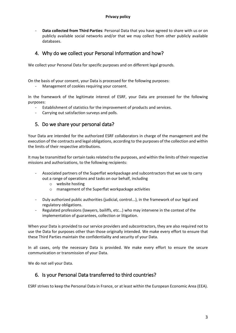- **Data collected from Third Parties**: Personal Data that you have agreed to share with us or on publicly available social networks and/or that we may collect from other publicly available databases.

# <span id="page-3-0"></span>4. Why do we collect your Personal Information and how?

We collect your Personal Data for specific purposes and on different legal grounds.

On the basis of your consent, your Data is processed for the following purposes:

Management of cookies requiring your consent.

In the framework of the legitimate interest of ESRF, your Data are processed for the following purposes:

- Establishment of statistics for the improvement of products and services.
- Carrying out satisfaction surveys and polls.

# <span id="page-3-1"></span>5. Do we share your personal data?

Your Data are intended for the authorized ESRF collaborators in charge of the management and the execution of the contracts and legal obligations, according to the purposes of the collection and within the limits of their respective attributions.

It may be transmitted for certain tasks related to the purposes, and within the limits of their respective missions and authorizations, to the following recipients:

- Associated partners of the Superflat workpackage and subcontractors that we use to carry out a range of operations and tasks on our behalf, including
	- o website hosting
	- o management of the Superflat workpackage activities
- Duly authorized public authorities (judicial, control...), in the framework of our legal and regulatory obligations.
- Regulated professions (lawyers, bailiffs, etc...) who may intervene in the context of the implementation of guarantees, collection or litigation.

When your Data is provided to our service providers and subcontractors, they are also required not to use the Data for purposes other than those originally intended. We make every effort to ensure that these Third Parties maintain the confidentiality and security of your Data.

In all cases, only the necessary Data is provided. We make every effort to ensure the secure communication or transmission of your Data.

We do not sell your Data.

#### <span id="page-3-2"></span>6. Is your Personal Data transferred to third countries?

ESRF strives to keep the Personal Data in France, or at least within the European Economic Area (EEA).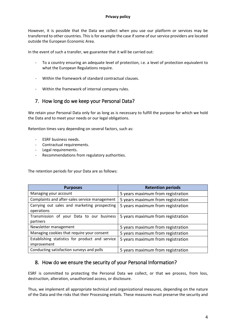However, it is possible that the Data we collect when you use our platform or services may be transferred to other countries. This is for example the case if some of our service providers are located outside the European Economic Area.

In the event of such a transfer, we guarantee that it will be carried out:

- To a country ensuring an adequate level of protection, i.e. a level of protection equivalent to what the European Regulations require.
- Within the framework of standard contractual clauses.
- Within the framework of internal company rules.

# <span id="page-4-0"></span>7. How long do we keep your Personal Data?

We retain your Personal Data only for as long as is necessary to fulfill the purpose for which we hold the Data and to meet your needs or our legal obligations.

Retention times vary depending on several factors, such as:

- ESRF business needs.
- Contractual requirements.
- Legal requirements.
- Recommendations from regulatory authorities.

The retention periods for your Data are as follows:

| <b>Purposes</b>                                 | <b>Retention periods</b>          |
|-------------------------------------------------|-----------------------------------|
| Managing your account                           | 5 years maximum from registration |
| Complaints and after-sales service management   | 5 years maximum from registration |
| Carrying out sales and marketing prospecting    | 5 years maximum from registration |
| operations                                      |                                   |
| Transmission of your Data to our business       | 5 years maximum from registration |
| partners                                        |                                   |
| Newsletter management                           | 5 years maximum from registration |
| Managing cookies that require your consent      | 5 years maximum from registration |
| Establishing statistics for product and service | 5 years maximum from registration |
| improvement                                     |                                   |
| Conducting satisfaction surveys and polls       | 5 years maximum from registration |

### <span id="page-4-1"></span>8. How do we ensure the security of your Personal Information?

ESRF is committed to protecting the Personal Data we collect, or that we process, from loss, destruction, alteration, unauthorized access, or disclosure.

Thus, we implement all appropriate technical and organizational measures, depending on the nature of the Data and the risks that their Processing entails. These measures must preserve the security and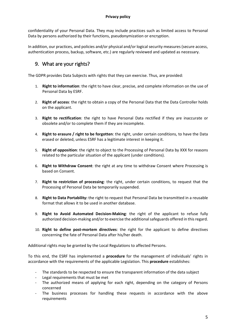#### **Privacy policy**

confidentiality of your Personal Data. They may include practices such as limited access to Personal Data by persons authorized by their functions, pseudonymization or encryption.

In addition, our practices, and policies and/or physical and/or logical security measures (secure access, authentication process, backup, software, etc.) are regularly reviewed and updated as necessary.

# <span id="page-5-0"></span>9. What are your rights?

The GDPR provides Data Subjects with rights that they can exercise. Thus, are provided:

- 1. **Right to information**: the right to have clear, precise, and complete information on the use of Personal Data by ESRF.
- 2. **Right of access**: the right to obtain a copy of the Personal Data that the Data Controller holds on the applicant.
- 3. **Right to rectification**: the right to have Personal Data rectified if they are inaccurate or obsolete and/or to complete them if they are incomplete.
- 4. **Right to erasure / right to be forgotten**: the right, under certain conditions, to have the Data erased or deleted, unless ESRF has a legitimate interest in keeping it.
- 5. **Right of opposition**: the right to object to the Processing of Personal Data by XXX for reasons related to the particular situation of the applicant (under conditions).
- 6. **Right to Withdraw Consent**: the right at any time to withdraw Consent where Processing is based on Consent.
- 7. **Right to restriction of processing**: the right, under certain conditions, to request that the Processing of Personal Data be temporarily suspended.
- 8. **Right to Data Portability:** the right to request that Personal Data be transmitted in a reusable format that allows it to be used in another database.
- 9. **Right to Avoid Automated Decision-Making**: the right of the applicant to refuse fully authorized decision-making and/or to exercise the additional safeguards offered in this regard.
- 10. **Right to define post-mortem directives**: the right for the applicant to define directives concerning the fate of Personal Data after his/her death.

Additional rights may be granted by the Local Regulations to affected Persons.

To this end, the ESRF has implemented a **procedure** for the management of individuals' rights in accordance with the requirements of the applicable Legislation. This **procedure** establishes:

- The standards to be respected to ensure the transparent information of the data subject
- Legal requirements that must be met
- The authorized means of applying for each right, depending on the category of Persons concerned
- The business processes for handling these requests in accordance with the above requirements